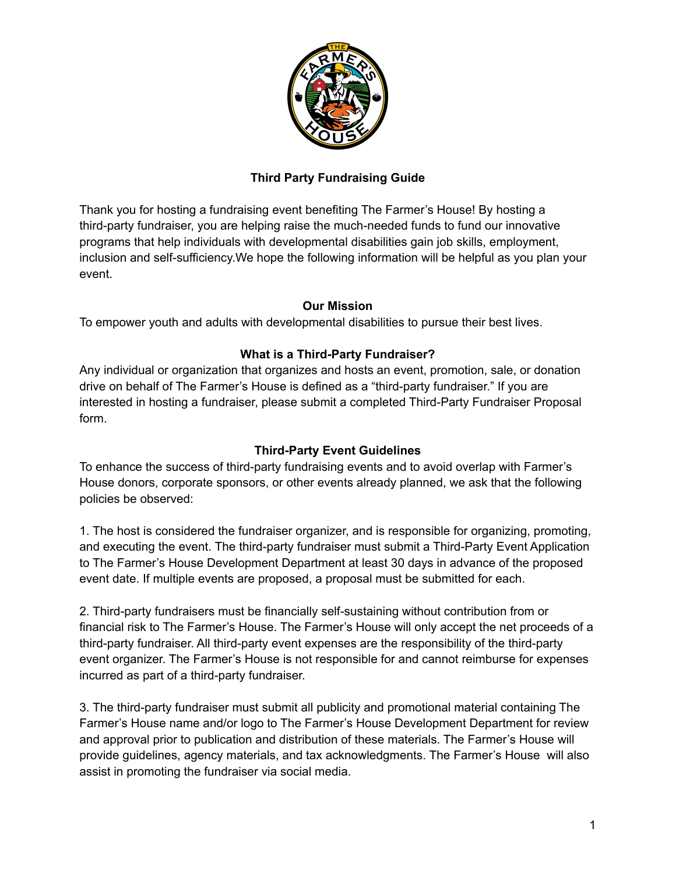

# **Third Party Fundraising Guide**

Thank you for hosting a fundraising event benefiting The Farmer's House! By hosting a third-party fundraiser, you are helping raise the much-needed funds to fund our innovative programs that help individuals with developmental disabilities gain job skills, employment, inclusion and self-sufficiency.We hope the following information will be helpful as you plan your event.

#### **Our Mission**

To empower youth and adults with developmental disabilities to pursue their best lives.

## **What is a Third-Party Fundraiser?**

Any individual or organization that organizes and hosts an event, promotion, sale, or donation drive on behalf of The Farmer's House is defined as a "third-party fundraiser." If you are interested in hosting a fundraiser, please submit a completed Third-Party Fundraiser Proposal form.

#### **Third-Party Event Guidelines**

To enhance the success of third-party fundraising events and to avoid overlap with Farmer's House donors, corporate sponsors, or other events already planned, we ask that the following policies be observed:

1. The host is considered the fundraiser organizer, and is responsible for organizing, promoting, and executing the event. The third-party fundraiser must submit a Third-Party Event Application to The Farmer's House Development Department at least 30 days in advance of the proposed event date. If multiple events are proposed, a proposal must be submitted for each.

2. Third-party fundraisers must be financially self-sustaining without contribution from or financial risk to The Farmer's House. The Farmer's House will only accept the net proceeds of a third-party fundraiser. All third-party event expenses are the responsibility of the third-party event organizer. The Farmer's House is not responsible for and cannot reimburse for expenses incurred as part of a third-party fundraiser.

3. The third-party fundraiser must submit all publicity and promotional material containing The Farmer's House name and/or logo to The Farmer's House Development Department for review and approval prior to publication and distribution of these materials. The Farmer's House will provide guidelines, agency materials, and tax acknowledgments. The Farmer's House will also assist in promoting the fundraiser via social media.